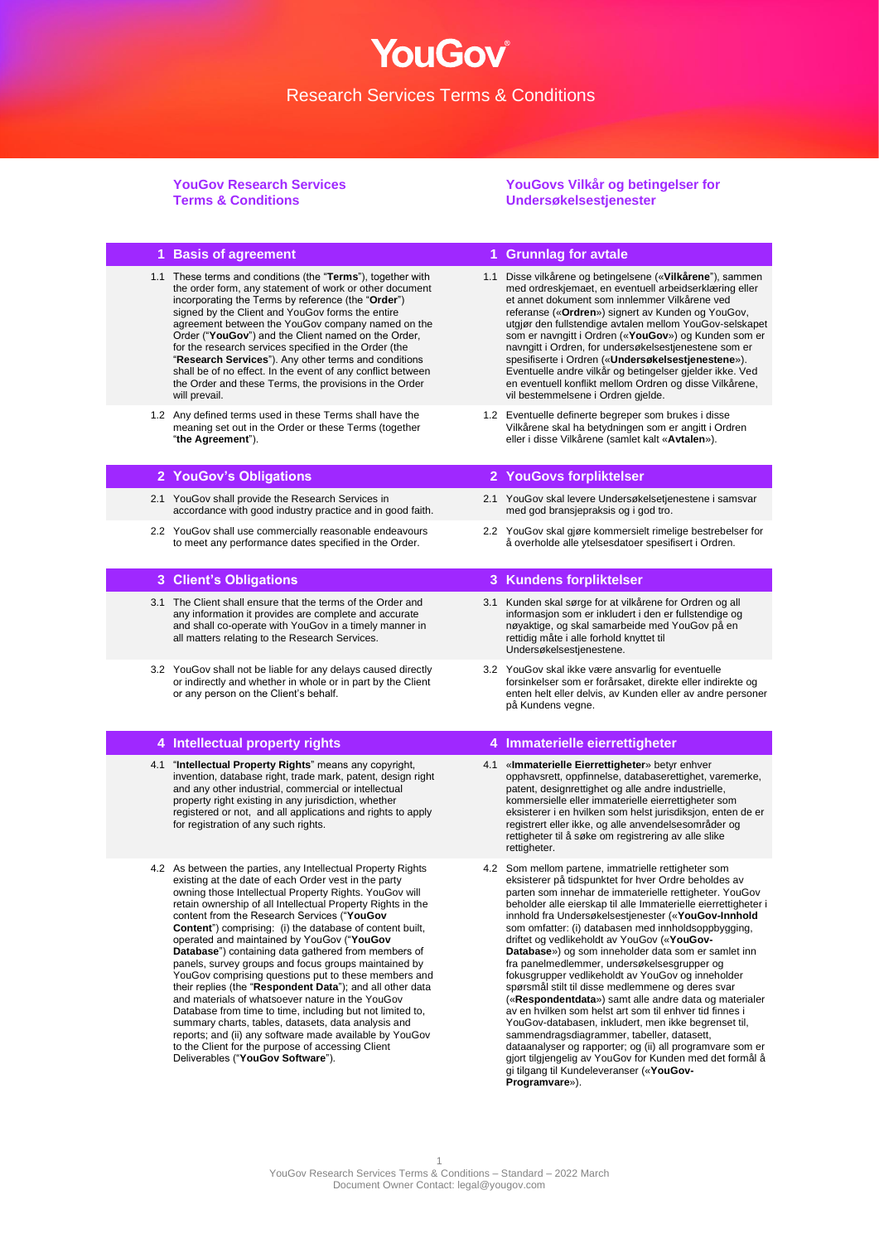### **YouGov Research Services Terms & Conditions**

#### **YouGovs Vilkår og betingelser for Undersøkelsestjenester**

#### **1 Basis of agreement 1 Grunnlag for avtale** 1.1 These terms and conditions (the "**Terms**"), together with the order form, any statement of work or other document incorporating the Terms by reference (the "**Order**") signed by the Client and YouGov forms the entire agreement between the YouGov company named on the Order ("**YouGov**") and the Client named on the Order, for the research services specified in the Order (the "**Research Services**"). Any other terms and conditions shall be of no effect. In the event of any conflict between the Order and these Terms, the provisions in the Order will prevail. 1.1 Disse vilkårene og betingelsene («**Vilkårene**"), sammen med ordreskjemaet, en eventuell arbeidserklæring eller et annet dokument som innlemmer Vilkårene ved referanse («**Ordren**») signert av Kunden og YouGov, utgjør den fullstendige avtalen mellom YouGov-selskapet som er navngitt i Ordren («**YouGov**») og Kunden som er navngitt i Ordren, for undersøkelsestjenestene som er spesifiserte i Ordren («**Undersøkelsestjenestene**»). Eventuelle andre vilkår og betingelser gjelder ikke. Ved en eventuell konflikt mellom Ordren og disse Vilkårene, vil bestemmelsene i Ordren gjelde. 1.2 Any defined terms used in these Terms shall have the meaning set out in the Order or these Terms (together "**the Agreement**"). 1.2 Eventuelle definerte begreper som brukes i disse Vilkårene skal ha betydningen som er angitt i Ordren eller i disse Vilkårene (samlet kalt «**Avtalen**»). **2 YouGov's Obligations 2 YouGovs forpliktelser** 2.1 YouGov shall provide the Research Services in accordance with good industry practice and in good faith. 2.1 YouGov skal levere Undersøkelsetjenestene i samsvar med god bransjepraksis og i god tro. 2.2 YouGov shall use commercially reasonable endeavours to meet any performance dates specified in the Order. 2.2 YouGov skal gjøre kommersielt rimelige bestrebelser for å overholde alle ytelsesdatoer spesifisert i Ordren. **3 Client's Obligations 3 Kundens forpliktelser** 3.1 The Client shall ensure that the terms of the Order and any information it provides are complete and accurate and shall co-operate with YouGov in a timely manner in all matters relating to the Research Services. 3.1 Kunden skal sørge for at vilkårene for Ordren og all informasjon som er inkludert i den er fullstendige og nøyaktige, og skal samarbeide med YouGov på en rettidig måte i alle forhold knyttet til Undersøkelsestjenestene. 3.2 YouGov shall not be liable for any delays caused directly or indirectly and whether in whole or in part by the Client or any person on the Client's behalf. 3.2 YouGov skal ikke være ansvarlig for eventuelle forsinkelser som er forårsaket, direkte eller indirekte og enten helt eller delvis, av Kunden eller av andre personer på Kundens vegne. **4 Intellectual property rights 4 Immaterielle eierrettigheter** 4.1 "**Intellectual Property Rights**" means any copyright, invention, database right, trade mark, patent, design right and any other industrial, commercial or intellectual property right existing in any jurisdiction, whether registered or not, and all applications and rights to apply for registration of any such rights. 4.1 «**Immaterielle Eierrettigheter**» betyr enhver opphavsrett, oppfinnelse, databaserettighet, varemerke, patent, designrettighet og alle andre industrielle, kommersielle eller immaterielle eierrettigheter som eksisterer i en hvilken som helst jurisdiksjon, enten de er registrert eller ikke, og alle anvendelsesområder og rettigheter til å søke om registrering av alle slike rettigheter. 4.2 As between the parties, any Intellectual Property Rights existing at the date of each Order vest in the party owning those Intellectual Property Rights. YouGov will retain ownership of all Intellectual Property Rights in the content from the Research Services ("**YouGov Content**") comprising: (i) the database of content built, operated and maintained by YouGov ("**YouGov Database**") containing data gathered from members of panels, survey groups and focus groups maintained by YouGov comprising questions put to these members and their replies (the "**Respondent Data**"); and all other data and materials of whatsoever nature in the YouGov Database from time to time, including but not limited to, summary charts, tables, datasets, data analysis and reports; and (ii) any software made available by YouGov to the Client for the purpose of accessing Client Deliverables ("**YouGov Software**"). 4.2 Som mellom partene, immatrielle rettigheter som eksisterer på tidspunktet for hver Ordre beholdes av parten som innehar de immaterielle rettigheter. YouGov beholder alle eierskap til alle Immaterielle eierrettigheter i innhold fra Undersøkelsestjenester («**YouGov-Innhold** som omfatter: (i) databasen med innholdsoppbygging, driftet og vedlikeholdt av YouGov («**YouGov-Database**») og som inneholder data som er samlet inn fra panelmedlemmer, undersøkelsesgrupper og fokusgrupper vedlikeholdt av YouGov og inneholder spørsmål stilt til disse medlemmene og deres svar («**Respondentdata**») samt alle andre data og materialer av en hvilken som helst art som til enhver tid finnes i YouGov-databasen, inkludert, men ikke begrenset til, sammendragsdiagrammer, tabeller, datasett, dataanalyser og rapporter; og (ii) all programvare som er gjort tilgjengelig av YouGov for Kunden med det formål å

gi tilgang til Kundeleveranser («**YouGov-**

**Programvare**»).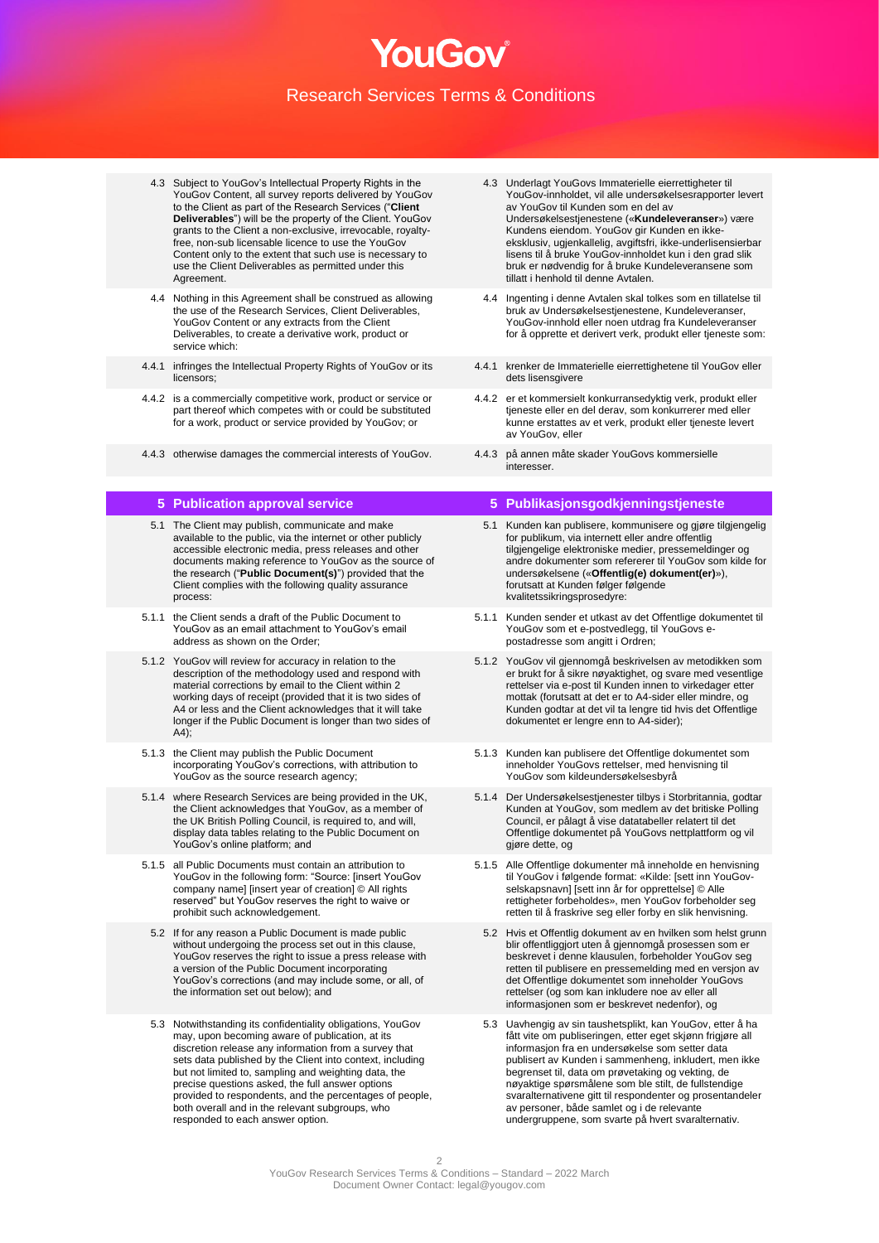- 4.3 Subject to YouGov's Intellectual Property Rights in the YouGov Content, all survey reports delivered by YouGov to the Client as part of the Research Services ("**Client Deliverables**") will be the property of the Client. YouGov grants to the Client a non-exclusive, irrevocable, royaltyfree, non-sub licensable licence to use the YouGov Content only to the extent that such use is necessary to use the Client Deliverables as permitted under this Agreement.
- 4.4 Nothing in this Agreement shall be construed as allowing the use of the Research Services, Client Deliverables, YouGov Content or any extracts from the Client Deliverables, to create a derivative work, product or service which:
- 4.4.1 infringes the Intellectual Property Rights of YouGov or its licensors;
- 4.4.2 is a commercially competitive work, product or service or part thereof which competes with or could be substituted for a work, product or service provided by YouGov; or
- 4.4.3 otherwise damages the commercial interests of YouGov. 4.4.3 på annen måte skader YouGovs kommersielle

- 5.1 The Client may publish, communicate and make available to the public, via the internet or other publicly accessible electronic media, press releases and other documents making reference to YouGov as the source of the research ("**Public Document(s)**") provided that the Client complies with the following quality assurance process:
- 5.1.1 the Client sends a draft of the Public Document to YouGov as an email attachment to YouGov's email address as shown on the Order;
- 5.1.2 YouGov will review for accuracy in relation to the description of the methodology used and respond with material corrections by email to the Client within 2 working days of receipt (provided that it is two sides of A4 or less and the Client acknowledges that it will take longer if the Public Document is longer than two sides of  $A4$ ):
- 5.1.3 the Client may publish the Public Document incorporating YouGov's corrections, with attribution to YouGov as the source research agency;
- 5.1.4 where Research Services are being provided in the UK, the Client acknowledges that YouGov, as a member of the UK British Polling Council, is required to, and will, display data tables relating to the Public Document on YouGov's online platform; and
- 5.1.5 all Public Documents must contain an attribution to YouGov in the following form: "Source: [insert YouGov company name] [insert year of creation] © All rights reserved" but YouGov reserves the right to waive or prohibit such acknowledgement.
	- 5.2 If for any reason a Public Document is made public without undergoing the process set out in this clause, YouGov reserves the right to issue a press release with a version of the Public Document incorporating YouGov's corrections (and may include some, or all, of the information set out below); and
	- 5.3 Notwithstanding its confidentiality obligations, YouGov may, upon becoming aware of publication, at its discretion release any information from a survey that sets data published by the Client into context, including but not limited to, sampling and weighting data, the precise questions asked, the full answer options provided to respondents, and the percentages of people, both overall and in the relevant subgroups, who responded to each answer option.
- 4.3 Underlagt YouGovs Immaterielle eierrettigheter til YouGov-innholdet, vil alle undersøkelsesrapporter levert av YouGov til Kunden som en del av Undersøkelsestjenestene («**Kundeleveranser**») være Kundens eiendom. YouGov gir Kunden en ikkeeksklusiv, ugjenkallelig, avgiftsfri, ikke-underlisensierbar lisens til å bruke YouGov-innholdet kun i den grad slik bruk er nødvendig for å bruke Kundeleveransene som tillatt i henhold til denne Avtalen.
- 4.4 Ingenting i denne Avtalen skal tolkes som en tillatelse til bruk av Undersøkelsestjenestene, Kundeleveranser, YouGov-innhold eller noen utdrag fra Kundeleveranser for å opprette et derivert verk, produkt eller tjeneste som:
- 4.4.1 krenker de Immaterielle eierrettighetene til YouGov eller dets lisensgivere
- 4.4.2 er et kommersielt konkurransedyktig verk, produkt eller tjeneste eller en del derav, som konkurrerer med eller kunne erstattes av et verk, produkt eller tjeneste levert av YouGov, eller
- interesser.

### **5 Publication approval service 5 Publikasjonsgodkjenningstjeneste**

- 5.1 Kunden kan publisere, kommunisere og gjøre tilgjengelig for publikum, via internett eller andre offentlig tilgjengelige elektroniske medier, pressemeldinger og andre dokumenter som refererer til YouGov som kilde for undersøkelsene («**Offentlig(e) dokument(er)**»), forutsatt at Kunden følger følgende kvalitetssikringsprosedyre:
- 5.1.1 Kunden sender et utkast av det Offentlige dokumentet til YouGov som et e-postvedlegg, til YouGovs epostadresse som angitt i Ordren;
- 5.1.2 YouGov vil gjennomgå beskrivelsen av metodikken som er brukt for å sikre nøyaktighet, og svare med vesentlige rettelser via e-post til Kunden innen to virkedager etter mottak (forutsatt at det er to A4-sider eller mindre, og Kunden godtar at det vil ta lengre tid hvis det Offentlige dokumentet er lengre enn to A4-sider);
- 5.1.3 Kunden kan publisere det Offentlige dokumentet som inneholder YouGovs rettelser, med henvisning til YouGov som kildeundersøkelsesbyrå
- 5.1.4 Der Undersøkelsestjenester tilbys i Storbritannia, godtar Kunden at YouGov, som medlem av det britiske Polling Council, er pålagt å vise datatabeller relatert til det Offentlige dokumentet på YouGovs nettplattform og vil gjøre dette, og
- 5.1.5 Alle Offentlige dokumenter må inneholde en henvisning til YouGov i følgende format: «Kilde: [sett inn YouGo selskapsnavn] [sett inn år for opprettelse] © Alle rettigheter forbeholdes», men YouGov forbeholder seg retten til å fraskrive seg eller forby en slik henvisning.
- 5.2 Hvis et Offentlig dokument av en hvilken som helst grunn blir offentliggjort uten å gjennomgå prosessen som er beskrevet i denne klausulen, forbeholder YouGov seg retten til publisere en pressemelding med en versjon av det Offentlige dokumentet som inneholder YouGovs rettelser (og som kan inkludere noe av eller all informasjonen som er beskrevet nedenfor), og
- 5.3 Uavhengig av sin taushetsplikt, kan YouGov, etter å ha fått vite om publiseringen, etter eget skjønn frigjøre all informasjon fra en undersøkelse som setter data publisert av Kunden i sammenheng, inkludert, men ikke begrenset til, data om prøvetaking og vekting, de nøyaktige spørsmålene som ble stilt, de fullstendige svaralternativene gitt til respondenter og prosentandeler av personer, både samlet og i de relevante undergruppene, som svarte på hvert svaralternativ.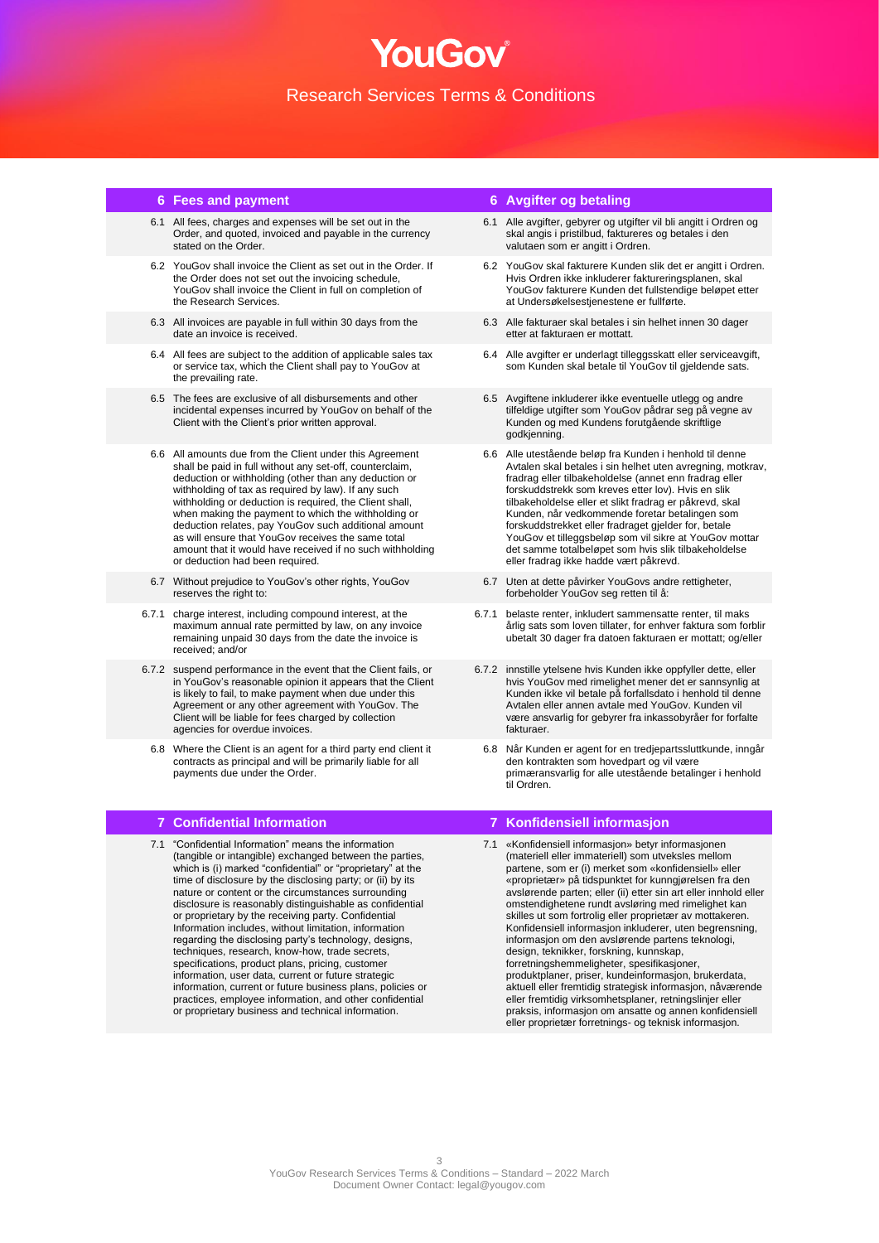- 6.1 All fees, charges and expenses will be set out in the Order, and quoted, invoiced and payable in the currency stated on the Order.
- 6.2 YouGov shall invoice the Client as set out in the Order. If the Order does not set out the invoicing schedule, YouGov shall invoice the Client in full on completion of the Research Services.
- 6.3 All invoices are payable in full within 30 days from the date an invoice is received.
- 6.4 All fees are subject to the addition of applicable sales tax or service tax, which the Client shall pay to YouGov at the prevailing rate.
- 6.5 The fees are exclusive of all disbursements and other incidental expenses incurred by YouGov on behalf of the Client with the Client's prior written approval.
- 6.6 All amounts due from the Client under this Agreement shall be paid in full without any set-off, counterclaim, deduction or withholding (other than any deduction or withholding of tax as required by law). If any such withholding or deduction is required, the Client shall, when making the payment to which the withholding or deduction relates, pay YouGov such additional amount as will ensure that YouGov receives the same total amount that it would have received if no such withholding or deduction had been required.
- 6.7 Without prejudice to YouGov's other rights, YouGov reserves the right to:
- 6.7.1 charge interest, including compound interest, at the maximum annual rate permitted by law, on any invoice remaining unpaid 30 days from the date the invoice is received; and/or
- 6.7.2 suspend performance in the event that the Client fails, or in YouGov's reasonable opinion it appears that the Client is likely to fail, to make payment when due under this Agreement or any other agreement with YouGov. The Client will be liable for fees charged by collection agencies for overdue invoices.
	- 6.8 Where the Client is an agent for a third party end client it contracts as principal and will be primarily liable for all payments due under the Order.

7.1 "Confidential Information" means the information (tangible or intangible) exchanged between the parties, which is (i) marked "confidential" or "proprietary" at the time of disclosure by the disclosing party; or (ii) by its nature or content or the circumstances surrounding disclosure is reasonably distinguishable as confidential or proprietary by the receiving party. Confidential Information includes, without limitation, information regarding the disclosing party's technology, designs, techniques, research, know-how, trade secrets, specifications, product plans, pricing, customer information, user data, current or future strategic information, current or future business plans, policies or practices, employee information, and other confidential or proprietary business and technical information.

## **6 Fees and payment 6 Avgifter og betaling**

- 6.1 Alle avgifter, gebyrer og utgifter vil bli angitt i Ordren og skal angis i pristilbud, faktureres og betales i den valutaen som er angitt i Ordren.
- 6.2 YouGov skal fakturere Kunden slik det er angitt i Ordren. Hvis Ordren ikke inkluderer faktureringsplanen, skal YouGov fakturere Kunden det fullstendige beløpet etter at Undersøkelsestjenestene er fullførte.
- 6.3 Alle fakturaer skal betales i sin helhet innen 30 dager etter at fakturaen er mottatt.
- 6.4 Alle avgifter er underlagt tilleggsskatt eller serviceavgift, som Kunden skal betale til YouGov til gjeldende sats.
- 6.5 Avgiftene inkluderer ikke eventuelle utlegg og andre tilfeldige utgifter som YouGov pådrar seg på vegne av Kunden og med Kundens forutgående skriftlige godkjenning.
- 6.6 Alle utestående beløp fra Kunden i henhold til denne Avtalen skal betales i sin helhet uten avregning, motkrav, fradrag eller tilbakeholdelse (annet enn fradrag eller forskuddstrekk som kreves etter lov). Hvis en slik tilbakeholdelse eller et slikt fradrag er påkrevd, skal Kunden, når vedkommende foretar betalingen som forskuddstrekket eller fradraget gjelder for, betale YouGov et tilleggsbeløp som vil sikre at YouGov mottar det samme totalbeløpet som hvis slik tilbakeholdelse eller fradrag ikke hadde vært påkrevd.
- 6.7 Uten at dette påvirker YouGovs andre rettigheter, forbeholder YouGov seg retten til å:
- 6.7.1 belaste renter, inkludert sammensatte renter, til maks årlig sats som loven tillater, for enhver faktura som forblir ubetalt 30 dager fra datoen fakturaen er mottatt; og/eller
- 6.7.2 innstille ytelsene hvis Kunden ikke oppfyller dette, eller hvis YouGov med rimelighet mener det er sannsynlig at Kunden ikke vil betale på forfallsdato i henhold til denne Avtalen eller annen avtale med YouGov. Kunden vil være ansvarlig for gebyrer fra inkassobyråer for forfalte fakturaer.
	- 6.8 Når Kunden er agent for en tredjepartssluttkunde, inngår den kontrakten som hovedpart og vil være primæransvarlig for alle utestående betalinger i henhold til Ordren.

### **7 Confidential Information 7 Konfidensiell informasjon**

7.1 «Konfidensiell informasjon» betyr informasjonen (materiell eller immateriell) som utveksles mellom partene, som er (i) merket som «konfidensiell» eller «proprietær» på tidspunktet for kunngjørelsen fra den avslørende parten; eller (ii) etter sin art eller innhold eller omstendighetene rundt avsløring med rimelighet kan skilles ut som fortrolig eller proprietær av mottakeren. Konfidensiell informasjon inkluderer, uten begrensning, informasjon om den avslørende partens teknologi, design, teknikker, forskning, kunnskap, forretningshemmeligheter, spesifikasjoner, produktplaner, priser, kundeinformasjon, brukerdata, aktuell eller fremtidig strategisk informasjon, nåværende eller fremtidig virksomhetsplaner, retningslinjer eller praksis, informasjon om ansatte og annen konfidensiell eller proprietær forretnings- og teknisk informasjon.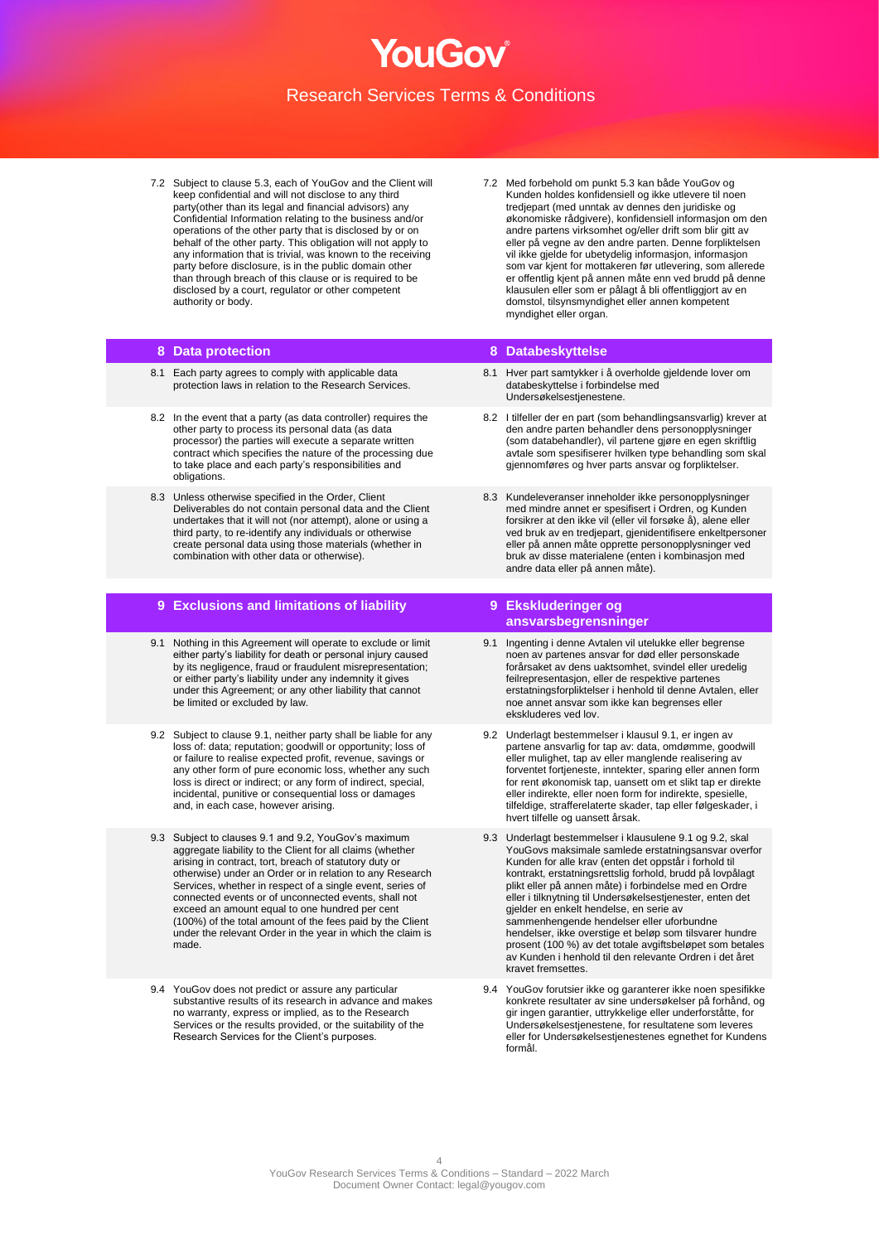- 7.2 Subject to clause 5.3, each of YouGov and the Client will keep confidential and will not disclose to any third party(other than its legal and financial advisors) any Confidential Information relating to the business and/or operations of the other party that is disclosed by or on behalf of the other party. This obligation will not apply to any information that is trivial, was known to the receiving party before disclosure, is in the public domain other than through breach of this clause or is required to be disclosed by a court, regulator or other competent authority or body.
- 7.2 Med forbehold om punkt 5.3 kan både YouGov og Kunden holdes konfidensiell og ikke utlevere til noen tredjepart (med unntak av dennes den juridiske og økonomiske rådgivere), konfidensiell informasjon om den andre partens virksomhet og/eller drift som blir gitt av eller på vegne av den andre parten. Denne forpliktelsen vil ikke gjelde for ubetydelig informasjon, informasjon som var kjent for mottakeren før utlevering, som allerede er offentlig kjent på annen måte enn ved brudd på denne klausulen eller som er pålagt å bli offentliggjort av en domstol, tilsynsmyndighet eller annen kompetent myndighet eller organ.

- 8.1 Each party agrees to comply with applicable data protection laws in relation to the Research Services.
- 8.2 In the event that a party (as data controller) requires the other party to process its personal data (as data processor) the parties will execute a separate written contract which specifies the nature of the processing due to take place and each party's responsibilities and obligations.
- 8.3 Unless otherwise specified in the Order, Client Deliverables do not contain personal data and the Client undertakes that it will not (nor attempt), alone or using a third party, to re-identify any individuals or otherwise create personal data using those materials (whether in combination with other data or otherwise).

### **9 Exclusions and limitations of liability 9 Ekskluderinger og**

- 9.1 Nothing in this Agreement will operate to exclude or limit either party's liability for death or personal injury caused by its negligence, fraud or fraudulent misrepresentation; or either party's liability under any indemnity it gives under this Agreement; or any other liability that cannot be limited or excluded by law.
- 9.2 Subject to clause 9.1, neither party shall be liable for any loss of: data; reputation; goodwill or opportunity; loss of or failure to realise expected profit, revenue, savings or any other form of pure economic loss, whether any such loss is direct or indirect; or any form of indirect, special, incidental, punitive or consequential loss or damages and, in each case, however arising.
- 9.3 Subject to clauses 9.1 and 9.2, YouGov's maximum aggregate liability to the Client for all claims (whether arising in contract, tort, breach of statutory duty or otherwise) under an Order or in relation to any Research Services, whether in respect of a single event, series of connected events or of unconnected events, shall not exceed an amount equal to one hundred per cent (100%) of the total amount of the fees paid by the Client under the relevant Order in the year in which the claim is made.
- 9.4 YouGov does not predict or assure any particular substantive results of its research in advance and makes no warranty, express or implied, as to the Research Services or the results provided, or the suitability of the Research Services for the Client's purposes.

#### **8 Data protection 8 Databeskyttelse**

- 8.1 Hver part samtykker i å overholde gjeldende lover om databeskyttelse i forbindelse med Undersøkelsestjenestene.
- 8.2 I tilfeller der en part (som behandlingsansvarlig) krever at den andre parten behandler dens personopplysninger (som databehandler), vil partene gjøre en egen skriftlig avtale som spesifiserer hvilken type behandling som skal gjennomføres og hver parts ansvar og forpliktelser.
- 8.3 Kundeleveranser inneholder ikke personopplysninger med mindre annet er spesifisert i Ordren, og Kunden forsikrer at den ikke vil (eller vil forsøke å), alene eller ved bruk av en tredjepart, gjenidentifisere enkeltpersoner eller på annen måte opprette personopplysninger ved bruk av disse materialene (enten i kombinasjon med andre data eller på annen måte).

# **ansvarsbegrensninger**

- 9.1 Ingenting i denne Avtalen vil utelukke eller begrense noen av partenes ansvar for død eller personskade forårsaket av dens uaktsomhet, svindel eller uredelig feilrepresentasjon, eller de respektive partenes erstatningsforpliktelser i henhold til denne Avtalen, eller noe annet ansvar som ikke kan begrenses eller ekskluderes ved lov.
- 9.2 Underlagt bestemmelser i klausul 9.1, er ingen av partene ansvarlig for tap av: data, omdømme, goodwill eller mulighet, tap av eller manglende realisering av forventet fortjeneste, inntekter, sparing eller annen form for rent økonomisk tap, uansett om et slikt tap er direkte eller indirekte, eller noen form for indirekte, spesielle, tilfeldige, strafferelaterte skader, tap eller følgeskader, i hvert tilfelle og uansett årsak.
- 9.3 Underlagt bestemmelser i klausulene 9.1 og 9.2, skal YouGovs maksimale samlede erstatningsansvar overfor Kunden for alle krav (enten det oppstår i forhold til kontrakt, erstatningsrettslig forhold, brudd på lovpålagt plikt eller på annen måte) i forbindelse med en Ordre eller i tilknytning til Undersøkelsestjenester, enten det gjelder en enkelt hendelse, en serie av sammenhengende hendelser eller uforbundne hendelser, ikke overstige et beløp som tilsvarer hundre prosent (100 %) av det totale avgiftsbeløpet som betales av Kunden i henhold til den relevante Ordren i det året kravet fremsettes
- 9.4 YouGov forutsier ikke og garanterer ikke noen spesifikke konkrete resultater av sine undersøkelser på forhånd, og gir ingen garantier, uttrykkelige eller underforståtte, for Undersøkelsestjenestene, for resultatene som leveres eller for Undersøkelsestjenestenes egnethet for Kundens formål.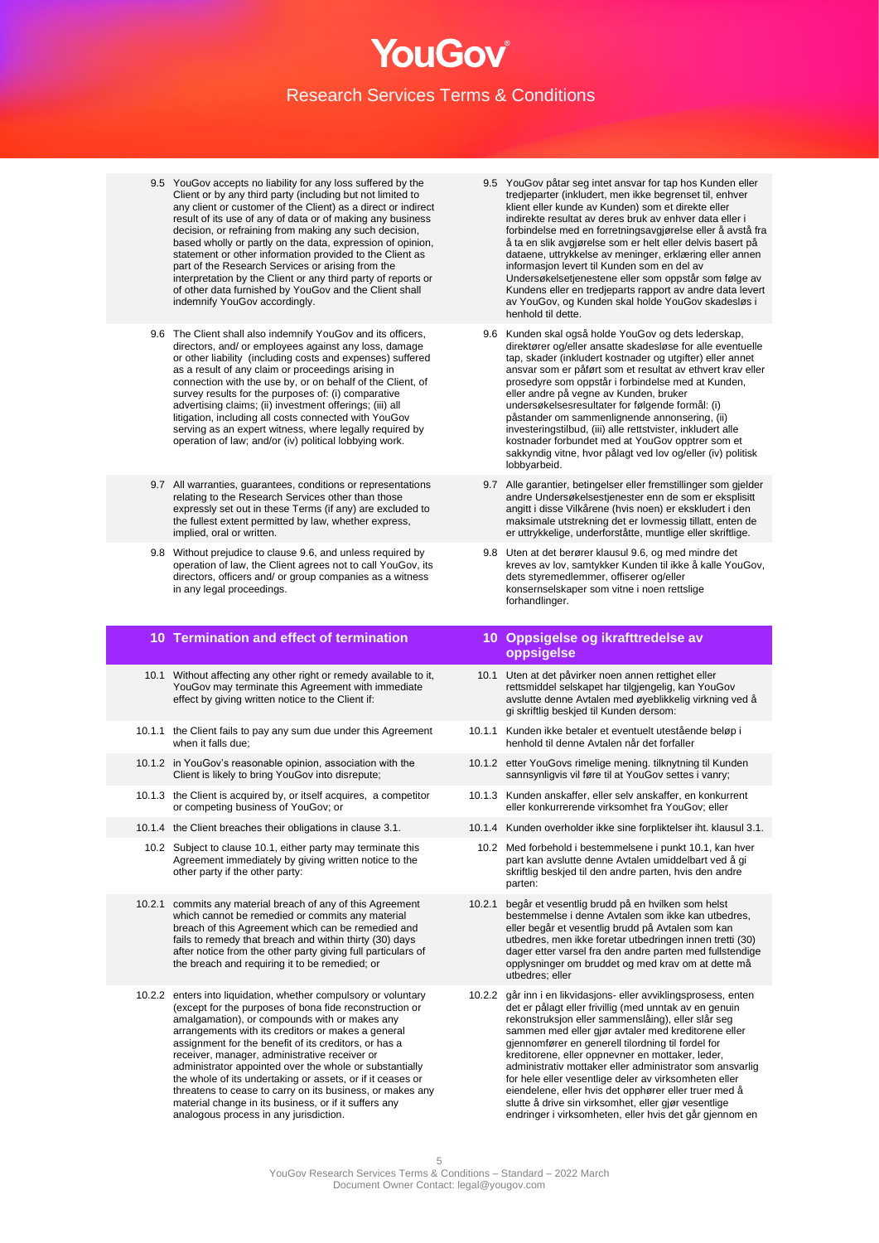- 9.5 YouGov accepts no liability for any loss suffered by the Client or by any third party (including but not limited to any client or customer of the Client) as a direct or indirect result of its use of any of data or of making any business decision, or refraining from making any such decision, based wholly or partly on the data, expression of opinion, statement or other information provided to the Client as part of the Research Services or arising from the interpretation by the Client or any third party of reports or of other data furnished by YouGov and the Client shall indemnify YouGov accordingly.
- 9.6 The Client shall also indemnify YouGov and its officers, directors, and/ or employees against any loss, damage or other liability (including costs and expenses) suffered as a result of any claim or proceedings arising in connection with the use by, or on behalf of the Client, of survey results for the purposes of: (i) comparative advertising claims; (ii) investment offerings; (iii) all litigation, including all costs connected with YouGov serving as an expert witness, where legally required by operation of law; and/or (iv) political lobbying work.
- 9.7 All warranties, guarantees, conditions or representations relating to the Research Services other than those expressly set out in these Terms (if any) are excluded to the fullest extent permitted by law, whether express, implied, oral or written.
- 9.8 Without prejudice to clause 9.6, and unless required by operation of law, the Client agrees not to call YouGov, its directors, officers and/ or group companies as a witness in any legal proceedings.

## **10 Termination and effect of termination 10 Oppsigelse og ikrafttredelse av**

- 10.1 Without affecting any other right or remedy available to it, YouGov may terminate this Agreement with immediate effect by giving written notice to the Client if:
- 10.1.1 the Client fails to pay any sum due under this Agreement when it falls due;
- 10.1.2 in YouGov's reasonable opinion, association with the Client is likely to bring YouGov into disrepute;
- 10.1.3 the Client is acquired by, or itself acquires, a competitor or competing business of YouGov; or
- 
- 10.2 Subject to clause 10.1, either party may terminate this Agreement immediately by giving written notice to the other party if the other party:
- 10.2.1 commits any material breach of any of this Agreement which cannot be remedied or commits any material breach of this Agreement which can be remedied and fails to remedy that breach and within thirty (30) days after notice from the other party giving full particulars of the breach and requiring it to be remedied; or
- 10.2.2 enters into liquidation, whether compulsory or voluntary (except for the purposes of bona fide reconstruction or amalgamation), or compounds with or makes any arrangements with its creditors or makes a general assignment for the benefit of its creditors, or has a receiver, manager, administrative receiver or administrator appointed over the whole or substantially the whole of its undertaking or assets, or if it ceases or threatens to cease to carry on its business, or makes any material change in its business, or if it suffers any analogous process in any jurisdiction.
- 9.5 YouGov påtar seg intet ansvar for tap hos Kunden eller tredjeparter (inkludert, men ikke begrenset til, enhver klient eller kunde av Kunden) som et direkte eller indirekte resultat av deres bruk av enhver data eller i forbindelse med en forretningsavgjørelse eller å avstå fra å ta en slik avgjørelse som er helt eller delvis basert på dataene, uttrykkelse av meninger, erklæring eller annen informasjon levert til Kunden som en del av Undersøkelsetjenestene eller som oppstår som følge av Kundens eller en tredjeparts rapport av andre data levert av YouGov, og Kunden skal holde YouGov skadesløs i henhold til dette.
- 9.6 Kunden skal også holde YouGov og dets lederskap, direktører og/eller ansatte skadesløse for alle eventuelle tap, skader (inkludert kostnader og utgifter) eller annet ansvar som er påført som et resultat av ethvert krav eller prosedyre som oppstår i forbindelse med at Kunden, eller andre på vegne av Kunden, bruker undersøkelsesresultater for følgende formål: (i) påstander om sammenlignende annonsering, (ii) investeringstilbud, (iii) alle rettstvister, inkludert alle kostnader forbundet med at YouGov opptrer som et sakkyndig vitne, hvor pålagt ved lov og/eller (iv) politisk lobbyarbeid.
- 9.7 Alle garantier, betingelser eller fremstillinger som gjelder andre Undersøkelsestjenester enn de som er eksplisitt angitt i disse Vilkårene (hvis noen) er ekskludert i den maksimale utstrekning det er lovmessig tillatt, enten de er uttrykkelige, underforståtte, muntlige eller skriftlige.
- 9.8 Uten at det berører klausul 9.6, og med mindre det kreves av lov, samtykker Kunden til ikke å kalle YouGov, dets styremedlemmer, offiserer og/eller konsernselskaper som vitne i noen rettslige forhandlinger.

## **oppsigelse**

- 10.1 Uten at det påvirker noen annen rettighet eller rettsmiddel selskapet har tilgjengelig, kan YouGov avslutte denne Avtalen med øyeblikkelig virkning ved å gi skriftlig beskjed til Kunden dersom:
- 10.1.1 Kunden ikke betaler et eventuelt utestående beløp i henhold til denne Avtalen når det forfaller
- 10.1.2 etter YouGovs rimelige mening. tilknytning til Kunden sannsynligvis vil føre til at YouGov settes i vanry;
- 10.1.3 Kunden anskaffer, eller selv anskaffer, en konkurrent eller konkurrerende virksomhet fra YouGov; eller
- 10.1.4 the Client breaches their obligations in clause 3.1. 10.1.4 Kunden overholder ikke sine forpliktelser iht. klausul 3.1.
	- 10.2 Med forbehold i bestemmelsene i punkt 10.1, kan hver part kan avslutte denne Avtalen umiddelbart ved å gi skriftlig beskjed til den andre parten, hvis den andre parten:
	- 10.2.1 begår et vesentlig brudd på en hvilken som helst bestemmelse i denne Avtalen som ikke kan utbedres, eller begår et vesentlig brudd på Avtalen som kan utbedres, men ikke foretar utbedringen innen tretti (30) dager etter varsel fra den andre parten med fullstendige opplysninger om bruddet og med krav om at dette må utbedres; eller
	- 10.2.2 går inn i en likvidasjons- eller avviklingsprosess, enten det er pålagt eller frivillig (med unntak av en genuin rekonstruksjon eller sammenslåing), eller slår seg sammen med eller gjør avtaler med kreditorene eller gjennomfører en generell tilordning til fordel for kreditorene, eller oppnevner en mottaker, leder, administrativ mottaker eller administrator som ansvarlig for hele eller vesentlige deler av virksomheten eller eiendelene, eller hvis det opphører eller truer med å slutte å drive sin virksomhet, eller gjør vesentlige endringer i virksomheten, eller hvis det går gjennom en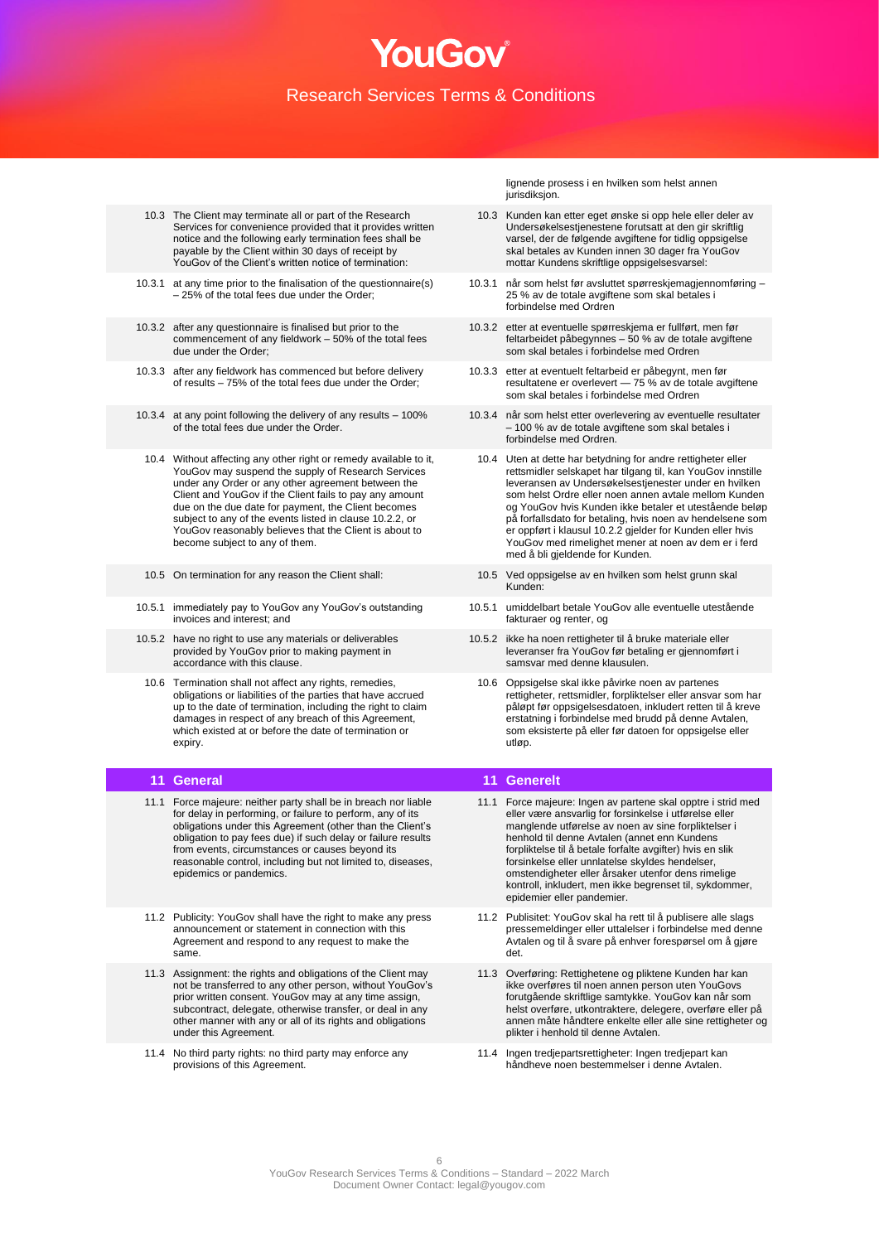- 10.3 The Client may terminate all or part of the Research Services for convenience provided that it provides written notice and the following early termination fees shall be payable by the Client within 30 days of receipt by YouGov of the Client's written notice of termination:
- 10.3.1 at any time prior to the finalisation of the questionnaire(s) – 25% of the total fees due under the Order;
- 10.3.2 after any questionnaire is finalised but prior to the commencement of any fieldwork – 50% of the total fees due under the Order;
- 10.3.3 after any fieldwork has commenced but before delivery of results – 75% of the total fees due under the Order;
- 10.3.4 at any point following the delivery of any results 100% of the total fees due under the Order.
- 10.4 Without affecting any other right or remedy available to it, YouGov may suspend the supply of Research Services under any Order or any other agreement between the Client and YouGov if the Client fails to pay any amount due on the due date for payment, the Client becomes subject to any of the events listed in clause 10.2.2, or YouGov reasonably believes that the Client is about to become subject to any of them.
- 
- 10.5.1 immediately pay to YouGov any YouGov's outstanding invoices and interest; and
- 10.5.2 have no right to use any materials or deliverables provided by YouGov prior to making payment in accordance with this clause.
- 10.6 Termination shall not affect any rights, remedies, obligations or liabilities of the parties that have accrued up to the date of termination, including the right to claim damages in respect of any breach of this Agreement, which existed at or before the date of termination or expiry.

- 11.1 Force majeure: neither party shall be in breach nor liable for delay in performing, or failure to perform, any of its obligations under this Agreement (other than the Client's obligation to pay fees due) if such delay or failure results from events, circumstances or causes beyond its reasonable control, including but not limited to, diseases, epidemics or pandemics.
- 11.2 Publicity: YouGov shall have the right to make any press announcement or statement in connection with this Agreement and respond to any request to make the same.
- 11.3 Assignment: the rights and obligations of the Client may not be transferred to any other person, without YouGov's prior written consent. YouGov may at any time assign, subcontract, delegate, otherwise transfer, or deal in any other manner with any or all of its rights and obligations under this Agreement.
- 11.4 No third party rights: no third party may enforce any provisions of this Agreement.

lignende prosess i en hvilken som helst annen iurisdiksion

- 10.3 Kunden kan etter eget ønske si opp hele eller deler av Undersøkelsestjenestene forutsatt at den gir skriftlig varsel, der de følgende avgiftene for tidlig oppsigelse skal betales av Kunden innen 30 dager fra YouGov mottar Kundens skriftlige oppsigelsesvarsel:
- 10.3.1 når som helst før avsluttet spørreskjemagjennomføring 25 % av de totale avgiftene som skal betales i forbindelse med Ordren
- 10.3.2 etter at eventuelle spørreskjema er fullført, men før feltarbeidet påbegynnes – 50 % av de totale avgiftene som skal betales i forbindelse med Ordren
- 10.3.3 etter at eventuelt feltarbeid er påbegynt, men før resultatene er overlevert — 75 % av de totale avgiftene som skal betales i forbindelse med Ordren
- 10.3.4 når som helst etter overlevering av eventuelle resultater – 100 % av de totale avgiftene som skal betales i forbindelse med Ordren.
	- 10.4 Uten at dette har betydning for andre rettigheter eller rettsmidler selskapet har tilgang til, kan YouGov innstille leveransen av Undersøkelsestjenester under en hvilken som helst Ordre eller noen annen avtale mellom Kunden og YouGov hvis Kunden ikke betaler et utestående beløp på forfallsdato for betaling, hvis noen av hendelsene som er oppført i klausul 10.2.2 gjelder for Kunden eller hvis YouGov med rimelighet mener at noen av dem er i ferd med å bli gjeldende for Kunden.
- 10.5 On termination for any reason the Client shall: 10.5 Ved oppsigelse av en hvilken som helst grunn skal Kunden:
	- 10.5.1 umiddelbart betale YouGov alle eventuelle utestående fakturaer og renter, og
	- 10.5.2 ikke ha noen rettigheter til å bruke materiale eller leveranser fra YouGov før betaling er gjennomført i samsvar med denne klausulen.
		- 10.6 Oppsigelse skal ikke påvirke noen av partenes rettigheter, rettsmidler, forpliktelser eller ansvar som har påløpt før oppsigelsesdatoen, inkludert retten til å kreve erstatning i forbindelse med brudd på denne Avtalen, som eksisterte på eller før datoen for oppsigelse eller utløp.

#### **11 General 11 Generelt**

- 11.1 Force majeure: Ingen av partene skal opptre i strid med eller være ansvarlig for forsinkelse i utførelse eller manglende utførelse av noen av sine forpliktelser i henhold til denne Avtalen (annet enn Kundens forpliktelse til å betale forfalte avgifter) hvis en slik forsinkelse eller unnlatelse skyldes hendelser, omstendigheter eller årsaker utenfor dens rimelige kontroll, inkludert, men ikke begrenset til, sykdommer, epidemier eller pandemier.
- 11.2 Publisitet: YouGov skal ha rett til å publisere alle slags pressemeldinger eller uttalelser i forbindelse med denne Avtalen og til å svare på enhver forespørsel om å gjøre det.
- 11.3 Overføring: Rettighetene og pliktene Kunden har kan ikke overføres til noen annen person uten YouGovs forutgående skriftlige samtykke. YouGov kan når som helst overføre, utkontraktere, delegere, overføre eller på annen måte håndtere enkelte eller alle sine rettigheter og plikter i henhold til denne Avtalen.
- 11.4 Ingen tredjepartsrettigheter: Ingen tredjepart kan håndheve noen bestemmelser i denne Avtalen.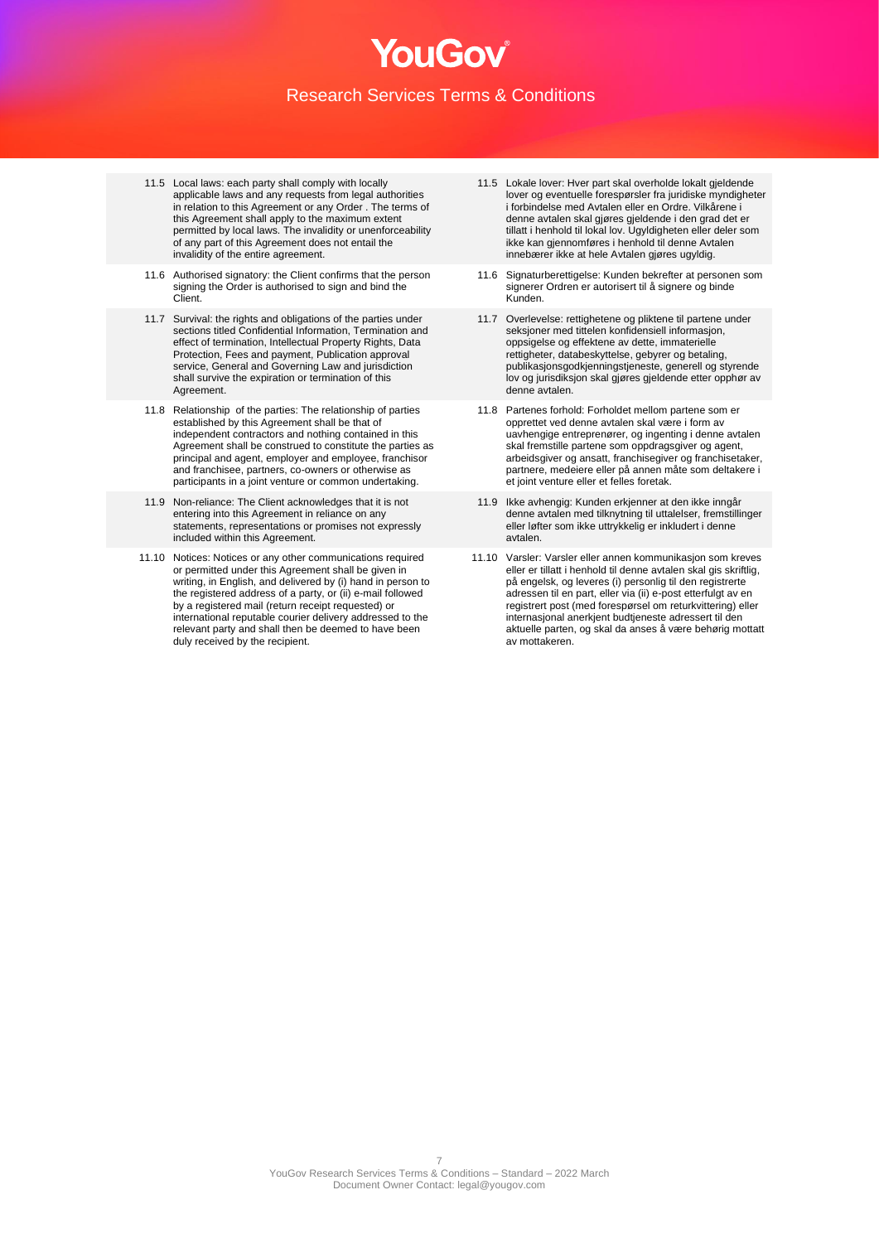- 11.5 Local laws: each party shall comply with locally applicable laws and any requests from legal authorities in relation to this Agreement or any Order . The terms of this Agreement shall apply to the maximum extent permitted by local laws. The invalidity or unenforceability of any part of this Agreement does not entail the invalidity of the entire agreement.
- 11.6 Authorised signatory: the Client confirms that the person signing the Order is authorised to sign and bind the Client.
- 11.7 Survival: the rights and obligations of the parties under sections titled Confidential Information, Termination and effect of termination, Intellectual Property Rights, Data Protection, Fees and payment, Publication approval service, General and Governing Law and jurisdiction shall survive the expiration or termination of this Agreement.
- 11.8 Relationship of the parties: The relationship of parties established by this Agreement shall be that of independent contractors and nothing contained in this Agreement shall be construed to constitute the parties as principal and agent, employer and employee, franchisor and franchisee, partners, co-owners or otherwise as participants in a joint venture or common undertaking.
- 11.9 Non-reliance: The Client acknowledges that it is not entering into this Agreement in reliance on any statements, representations or promises not expressly included within this Agreement.
- 11.10 Notices: Notices or any other communications required or permitted under this Agreement shall be given in writing, in English, and delivered by (i) hand in person to the registered address of a party, or (ii) e-mail followed by a registered mail (return receipt requested) or international reputable courier delivery addressed to the relevant party and shall then be deemed to have been duly received by the recipient.
- 11.5 Lokale lover: Hyer part skal overholde lokalt gjeldende lover og eventuelle forespørsler fra juridiske myndigheter i forbindelse med Avtalen eller en Ordre. Vilkårene i denne avtalen skal gjøres gjeldende i den grad det er tillatt i henhold til lokal lov. Ugyldigheten eller deler som ikke kan gjennomføres i henhold til denne Avtalen innebærer ikke at hele Avtalen gjøres ugyldig.
- 11.6 Signaturberettigelse: Kunden bekrefter at personen som signerer Ordren er autorisert til å signere og binde Kunden.
- 11.7 Overlevelse: rettighetene og pliktene til partene under seksjoner med tittelen konfidensiell informasjon, oppsigelse og effektene av dette, immaterielle rettigheter, databeskyttelse, gebyrer og betaling, publikasjonsgodkjenningstjeneste, generell og styrende lov og jurisdiksjon skal gjøres gjeldende etter opphør av denne avtalen.
- 11.8 Partenes forhold: Forholdet mellom partene som er opprettet ved denne avtalen skal være i form av uavhengige entreprenører, og ingenting i denne avtalen skal fremstille partene som oppdragsgiver og agent, arbeidsgiver og ansatt, franchisegiver og franchisetaker, partnere, medeiere eller på annen måte som deltakere i et joint venture eller et felles foretak.
- 11.9 Ikke avhengig: Kunden erkjenner at den ikke inngår denne avtalen med tilknytning til uttalelser, fremstillinger eller løfter som ikke uttrykkelig er inkludert i denne avtalen.
- 11.10 Varsler: Varsler eller annen kommunikasjon som kreves eller er tillatt i henhold til denne avtalen skal gis skriftlig, på engelsk, og leveres (i) personlig til den registrerte adressen til en part, eller via (ii) e-post etterfulgt av en registrert post (med forespørsel om returkvittering) eller internasjonal anerkjent budtjeneste adressert til den aktuelle parten, og skal da anses å være behørig mottatt av mottakeren.